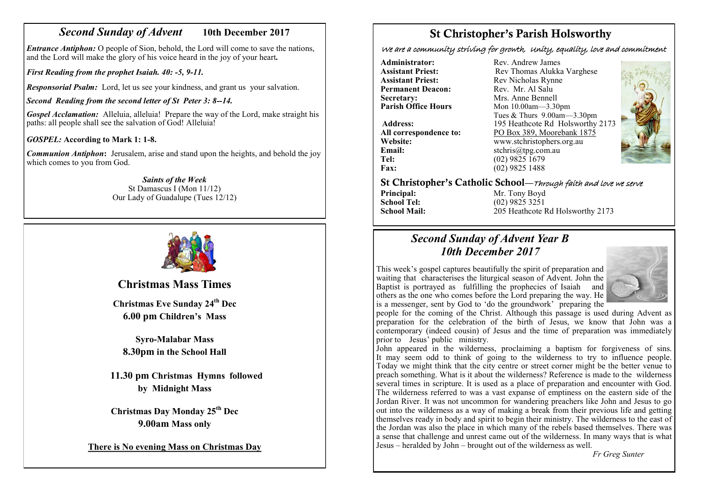# *Second Sunday of Advent* **10th December 2017**

*Entrance Antiphon:* O people of Sion, behold, the Lord will come to save the nations, and the Lord will make the glory of his voice heard in the joy of your heart*.*

*First Reading from the prophet Isaiah. 40: -5, 9-11.*

*Responsorial Psalm:* Lord, let us see your kindness, and grant us your salvation.

*Second Reading from the second letter of St Peter 3: 8--14.*

*Gospel Acclamation:* Alleluia, alleluia! Prepare the way of the Lord, make straight his paths: all people shall see the salvation of God! Alleluia!

## *GOSPEL:* **According to Mark 1: 1-8.**

*Communion Antiphon***:** Jerusalem, arise and stand upon the heights, and behold the joy which comes to you from God.

> *Saints of the Week* St Damascus I (Mon 11/12) Our Lady of Guadalupe (Tues 12/12)



**Christmas Mass Times** 

**Christmas Eve Sunday 24th Dec 6.00 pm Children's Mass**

**Syro-Malabar Mass 8.30pm in the School Hall**

**11.30 pm Christmas Hymns followed by Midnight Mass**

**Christmas Day Monday 25th Dec 9.00am Mass only** 

**There is No evening Mass on Christmas Day** 

# St Christopher's Parish Holsworthy

We are a community striving for growth, Unity, equality, love and commitment

**Permanent Deacon:**<br>Secretary: **Secretary:** Mrs. Anne Bennell<br>**Parish Office Hours** Mon 10.00am—3.30

**Email:** stchris@tpg.com.au<br> **Tel:** (02) 9825 1679 **Fax:** (02) 9825 1488

**Administrator:** Rev. Andrew James<br> **Assistant Priest:** Rev Thomas Alukka **Assistant Priest: Rev Thomas Alukka Varghese**<br>**Assistant Priest: Rev Nicholas Rynne** Rev Nicholas Rynne<br>Rev Mr Al Salu **Parish Office Hours** Mon 10.00am—3.30pm Tues & Thurs 9.00am—3.30pm Address: 195 Heathcote Rd Holsworthy 2173 **All correspondence to:** PO Box 389, Moorebank 1875<br>Website: www.stchristophers.org.au **Website:** www.stchristophers.org.au<br> **Email:** stchris@tng.com au **Tel:** (02) 9825 1679



St Christopher's Catholic School—Through faith and love we serve

**Principal:** Mr. Tony Boyd<br> **School Tel:** (02) 9825 3251 **School Tel:** (02) 9825 3251<br>**School Mail:** 205 Heathcote 1 **School Mail:** 205 Heathcote Rd Holsworthy 2173

# *Second Sunday of Advent Year B 10th December 2017*

This week's gospel captures beautifully the spirit of preparation and waiting that characterises the liturgical season of Advent. John the Baptist is portrayed as fulfilling the prophecies of Isaiah and others as the one who comes before the Lord preparing the way. He is a messenger, sent by God to 'do the groundwork' preparing the



people for the coming of the Christ. Although this passage is used during Advent as preparation for the celebration of the birth of Jesus, we know that John was a contemporary (indeed cousin) of Jesus and the time of preparation was immediately prior to Jesus' public ministry.

John appeared in the wilderness, proclaiming a baptism for forgiveness of sins. It may seem odd to think of going to the wilderness to try to influence people. Today we might think that the city centre or street corner might be the better venue to preach something. What is it about the wilderness? Reference is made to the wilderness several times in scripture. It is used as a place of preparation and encounter with God. The wilderness referred to was a vast expanse of emptiness on the eastern side of the Jordan River. It was not uncommon for wandering preachers like John and Jesus to go out into the wilderness as a way of making a break from their previous life and getting themselves ready in body and spirit to begin their ministry. The wilderness to the east of the Jordan was also the place in which many of the rebels based themselves. There was a sense that challenge and unrest came out of the wilderness. In many ways that is what Jesus – heralded by John – brought out of the wilderness as well.

*Fr Greg Sunter*